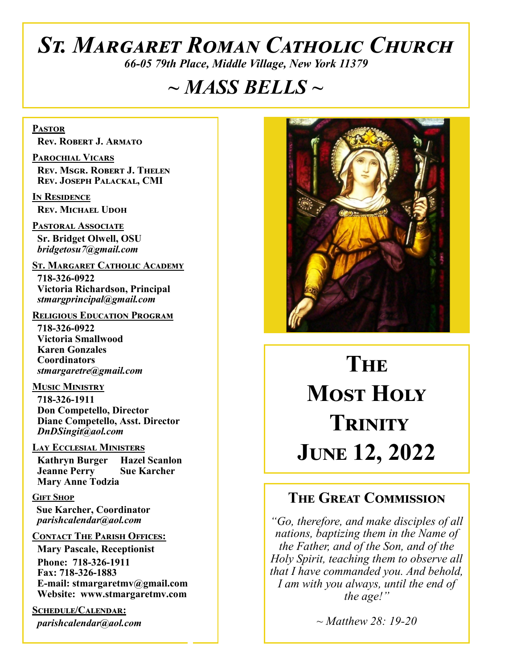# *St. Margaret Roman Catholic Church*

*66-05 79th Place, Middle Village, New York 11379*

# *~ MASS BELLS ~*

**Pastor Rev. Robert J. Armato**

**Parochial Vicars Rev. Msgr. Robert J. Thelen Rev. Joseph Palackal, CMI**

**In Residence Rev. Michael Udoh**

**Pastoral Associate Sr. Bridget Olwell, OSU**  *bridgetosu7@gmail.com*

**St. Margaret Catholic Academy**

 **718-326-0922 Victoria Richardson, Principal**  *stmargprincipal@gmail.com*

#### **Religious Education Program**

 **718-326-0922 Victoria Smallwood Karen Gonzales Coordinators** *stmargaretre@gmail.com*

**Music Ministry 718-326-1911 Don Competello, Director Diane Competello, Asst. Director** *DnDSingit@aol.com*

#### **Lay Ecclesial Ministers**

 **Kathryn Burger Hazel Scanlon Jeanne Perry Sue Karcher Mary Anne Todzia**

#### **Gift Shop**

 **Sue Karcher, Coordinator** *parishcalendar@aol.com*

#### **Contact The Parish Offices:**

 **Mary Pascale, Receptionist Phone: 718-326-1911 Fax: 718-326-1883 E-mail: stmargaretmv@gmail.com Website: www.stmargaretmv.com**

**Schedule/Calendar:** *parishcalendar@aol.com*



**The Most Holy Trinity June 12, 2022** 

# **The Great Commission**

*"Go, therefore, and make disciples of all nations, baptizing them in the Name of the Father, and of the Son, and of the Holy Spirit, teaching them to observe all that I have commanded you. And behold, I am with you always, until the end of the age!"*

*~ Matthew 28: 19-20*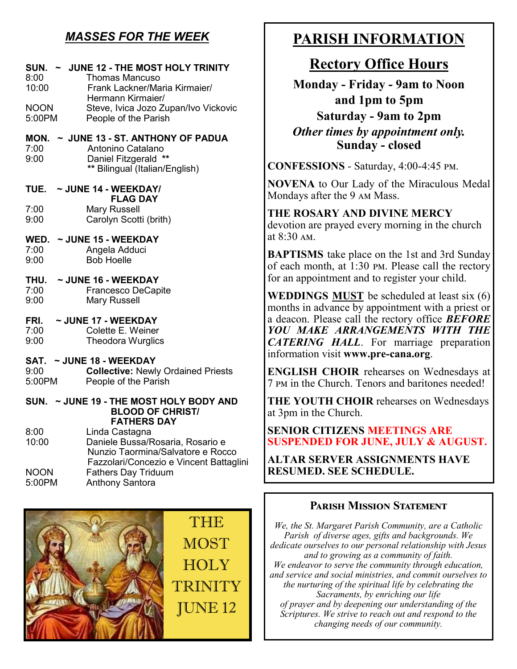# *MASSES FOR THE WEEK*

#### **SUN. ~ JUNE 12 - THE MOST HOLY TRINITY**  8:00 Thomas Mancuso 10:00 Frank Lackner/Maria Kirmaier/ Hermann Kirmaier/ NOON Steve, Ivica Jozo Zupan/Ivo Vickovic 5:00PM People of the Parish **MON. ~ JUNE 13 - ST. ANTHONY OF PADUA** 7:00 Antonino Catalano 9:00 Daniel Fitzgerald **\*\* \*\*** Bilingual (Italian/English) **TUE. ~ JUNE 14 - WEEKDAY/ FLAG DAY**<br>7:00 Mary Russell Mary Russell 9:00 Carolyn Scotti (brith) **WED. ~ JUNE 15 - WEEKDAY** 7:00 Angela Adduci 9:00 Bob Hoelle **THU. ~ JUNE 16 - WEEKDAY**  7:00 Francesco DeCapite<br>9:00 Mary Russell Mary Russell **FRI. ~ JUNE 17 - WEEKDAY**  7:00 Colette E. Weiner 9:00 Theodora Wurglics **SAT. ~ JUNE 18 - WEEKDAY**  9:00 **Collective:** Newly Ordained Priests People of the Parish

#### **SUN. ~ JUNE 19 - THE MOST HOLY BODY AND BLOOD OF CHRIST/ FATHERS DAY**

| 8:00        | Linda Castagna                          |
|-------------|-----------------------------------------|
| 10:00       | Daniele Bussa/Rosaria, Rosario e        |
|             | Nunzio Taormina/Salvatore e Rocco       |
|             | Fazzolari/Concezio e Vincent Battaglini |
| <b>NOON</b> | <b>Fathers Day Triduum</b>              |
| 5:00PM      | <b>Anthony Santora</b>                  |



# **PARISH INFORMATION**

# **Rectory Office Hours**

**Monday - Friday - 9am to Noon and 1pm to 5pm Saturday - 9am to 2pm** *Other times by appointment only.* **Sunday - closed**

**CONFESSIONS** - Saturday, 4:00-4:45 pm.

**NOVENA** to Our Lady of the Miraculous Medal Mondays after the 9 am Mass.

**THE ROSARY AND DIVINE MERCY** devotion are prayed every morning in the church at 8:30 am.

**BAPTISMS** take place on the 1st and 3rd Sunday of each month, at 1:30 pm. Please call the rectory for an appointment and to register your child.

**WEDDINGS MUST** be scheduled at least six (6) months in advance by appointment with a priest or a deacon. Please call the rectory office *BEFORE YOU MAKE ARRANGEMENTS WITH THE CATERING HALL*. For marriage preparation information visit **www.pre-cana.org**.

**ENGLISH CHOIR** rehearses on Wednesdays at 7 pm in the Church. Tenors and baritones needed!

**THE YOUTH CHOIR** rehearses on Wednesdays at 3pm in the Church.

**SENIOR CITIZENS MEETINGS ARE SUSPENDED FOR JUNE, JULY & AUGUST.** 

**ALTAR SERVER ASSIGNMENTS HAVE RESUMED. SEE SCHEDULE.** 

# **Parish Mission Statement**

*We, the St. Margaret Parish Community, are a Catholic Parish of diverse ages, gifts and backgrounds. We dedicate ourselves to our personal relationship with Jesus and to growing as a community of faith. We endeavor to serve the community through education, and service and social ministries, and commit ourselves to the nurturing of the spiritual life by celebrating the Sacraments, by enriching our life of prayer and by deepening our understanding of the Scriptures. We strive to reach out and respond to the changing needs of our community.*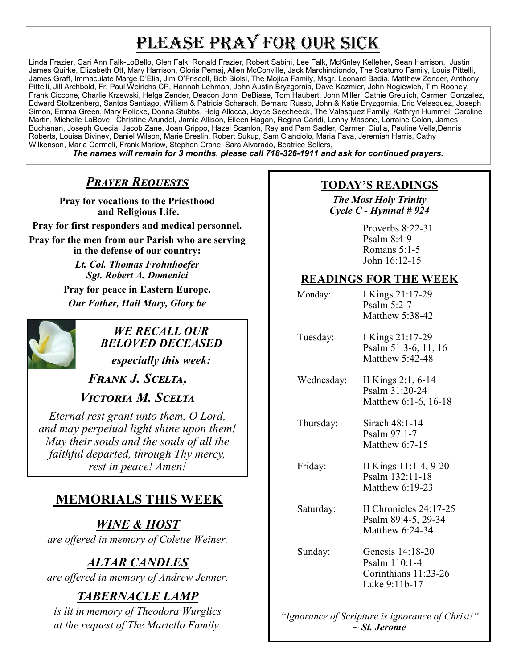# PLEASE PRAY FOR OUR SICK

Linda Frazier, Cari Ann Falk-LoBello, Glen Falk, Ronald Frazier, Robert Sabini, Lee Falk, McKinley Kelleher, Sean Harrison, Justin James Quirke, Elizabeth Ott, Mary Harrison, Gloria Pemaj, Allen McConville, Jack Marchindiondo, The Scaturro Family, Louis Pittelli, James Graff, Immaculate Marge D'Elia, Jim O'Friscoll, Bob Biolsi, The Mojica Family, Msgr. Leonard Badia, Matthew Zender, Anthony Pittelli, Jill Archbold, Fr. Paul Weirichs CP, Hannah Lehman, John Austin Bryzgornia, Dave Kazmier, John Nogiewich, Tim Rooney, Frank Ciccone, Charlie Krzewski, Helga Zender, Deacon John DeBiase, Tom Haubert, John Miller, Cathie Greulich, Carmen Gonzalez, Edward Stoltzenberg, Santos Santiago, William & Patricia Scharach, Bernard Russo, John & Katie Bryzgornia, Eric Velasquez, Joseph Simon, Emma Green, Mary Policke, Donna Stubbs, Heig Allocca, Joyce Seecheeck, The Valasquez Family, Kathryn Hummel, Caroline Martin, Michelle LaBove, Christine Arundel, Jamie Allison, Eileen Hagan, Regina Caridi, Lenny Masone, Lorraine Colon, James Buchanan, Joseph Guecia, Jacob Zane, Joan Grippo, Hazel Scanlon, Ray and Pam Sadler, Carmen Ciulla, Pauline Vella,Dennis Roberts, Louisa Diviney, Daniel Wilson, Marie Breslin, Robert Sukup, Sam Cianciolo, Maria Fava, Jeremiah Harris, Cathy Wilkenson, Maria Cermeli, Frank Marlow, Stephen Crane, Sara Alvarado, Beatrice Sellers,

*The names will remain for 3 months, please call 718-326-1911 and ask for continued prayers.*

# *Prayer Requests*

**Pray for vocations to the Priesthood and Religious Life.**

**Pray for first responders and medical personnel. Pray for the men from our Parish who are serving in the defense of our country:**

> *Lt. Col. Thomas Frohnhoefer Sgt. Robert A. Domenici* **Pray for peace in Eastern Europe.** *Our Father, Hail Mary, Glory be*



# *WE RECALL OUR BELOVED DECEASED*

*especially this week:*

*Frank J. Scelta,* 

*Victoria M. Scelta*

*Eternal rest grant unto them, O Lord, and may perpetual light shine upon them! May their souls and the souls of all the faithful departed, through Thy mercy, rest in peace! Amen!*

# **MEMORIALS THIS WEEK**

*WINE & HOST are offered in memory of Colette Weiner.*

# *ALTAR CANDLES*

*are offered in memory of Andrew Jenner.*

# *TABERNACLE LAMP*

*is lit in memory of Theodora Wurglics at the request of The Martello Family.*

## **TODAY'S READINGS**

*The Most Holy Trinity Cycle C - Hymnal # 924* 

> Proverbs 8:22-31 Psalm 8:4-9 Romans 5:1-5 John 16:12-15

# **READINGS FOR THE WEEK**

| Monday:    | I Kings 21:17-29<br>Psalm $5:2-7$<br>Matthew 5:38-42                       |
|------------|----------------------------------------------------------------------------|
| Tuesday:   | I Kings 21:17-29<br>Psalm 51:3-6, 11, 16<br>Matthew 5:42-48                |
| Wednesday: | II Kings 2:1, 6-14<br>Psalm 31:20-24<br>Matthew 6:1-6, 16-18               |
| Thursday:  | Sirach 48:1-14<br>Psalm $97:1-7$<br>Matthew 6:7-15                         |
| Friday:    | II Kings 11:1-4, 9-20<br>Psalm 132:11-18<br>Matthew 6:19-23                |
| Saturday:  | II Chronicles 24:17-25<br>Psalm 89:4-5, 29-34<br>Matthew $6:24-34$         |
| Sunday:    | Genesis 14:18-20<br>Psalm 110:1-4<br>Corinthians 11:23-26<br>Luke 9:11b-17 |
|            |                                                                            |

*"Ignorance of Scripture is ignorance of Christ!" ~ St. Jerome*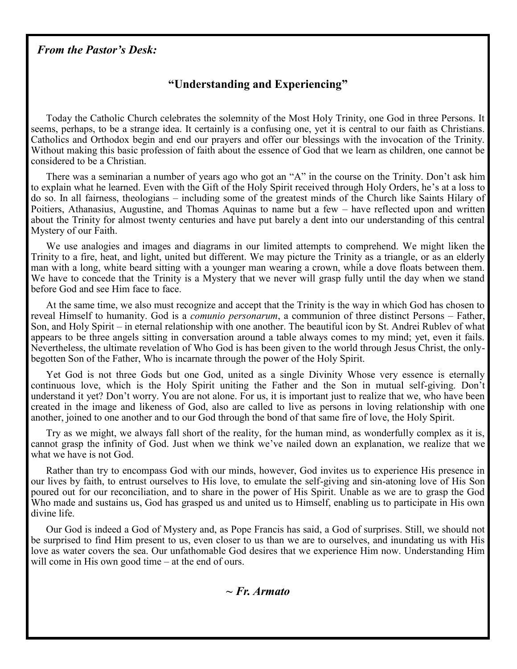#### *From the Pastor's Desk:*

## **"Understanding and Experiencing"**

Today the Catholic Church celebrates the solemnity of the Most Holy Trinity, one God in three Persons. It seems, perhaps, to be a strange idea. It certainly is a confusing one, yet it is central to our faith as Christians. Catholics and Orthodox begin and end our prayers and offer our blessings with the invocation of the Trinity. Without making this basic profession of faith about the essence of God that we learn as children, one cannot be considered to be a Christian.

There was a seminarian a number of years ago who got an "A" in the course on the Trinity. Don't ask him to explain what he learned. Even with the Gift of the Holy Spirit received through Holy Orders, he's at a loss to do so. In all fairness, theologians – including some of the greatest minds of the Church like Saints Hilary of Poitiers, Athanasius, Augustine, and Thomas Aquinas to name but a few – have reflected upon and written about the Trinity for almost twenty centuries and have put barely a dent into our understanding of this central Mystery of our Faith.

We use analogies and images and diagrams in our limited attempts to comprehend. We might liken the Trinity to a fire, heat, and light, united but different. We may picture the Trinity as a triangle, or as an elderly man with a long, white beard sitting with a younger man wearing a crown, while a dove floats between them. We have to concede that the Trinity is a Mystery that we never will grasp fully until the day when we stand before God and see Him face to face.

At the same time, we also must recognize and accept that the Trinity is the way in which God has chosen to reveal Himself to humanity. God is a *comunio personarum*, a communion of three distinct Persons – Father, Son, and Holy Spirit – in eternal relationship with one another. The beautiful icon by St. Andrei Rublev of what appears to be three angels sitting in conversation around a table always comes to my mind; yet, even it fails. Nevertheless, the ultimate revelation of Who God is has been given to the world through Jesus Christ, the onlybegotten Son of the Father, Who is incarnate through the power of the Holy Spirit.

Yet God is not three Gods but one God, united as a single Divinity Whose very essence is eternally continuous love, which is the Holy Spirit uniting the Father and the Son in mutual self-giving. Don't understand it yet? Don't worry. You are not alone. For us, it is important just to realize that we, who have been created in the image and likeness of God, also are called to live as persons in loving relationship with one another, joined to one another and to our God through the bond of that same fire of love, the Holy Spirit.

Try as we might, we always fall short of the reality, for the human mind, as wonderfully complex as it is, cannot grasp the infinity of God. Just when we think we've nailed down an explanation, we realize that we what we have is not God.

Rather than try to encompass God with our minds, however, God invites us to experience His presence in our lives by faith, to entrust ourselves to His love, to emulate the self-giving and sin-atoning love of His Son poured out for our reconciliation, and to share in the power of His Spirit. Unable as we are to grasp the God Who made and sustains us, God has grasped us and united us to Himself, enabling us to participate in His own divine life.

Our God is indeed a God of Mystery and, as Pope Francis has said, a God of surprises. Still, we should not be surprised to find Him present to us, even closer to us than we are to ourselves, and inundating us with His love as water covers the sea. Our unfathomable God desires that we experience Him now. Understanding Him will come in His own good time – at the end of ours.

*~ Fr. Armato*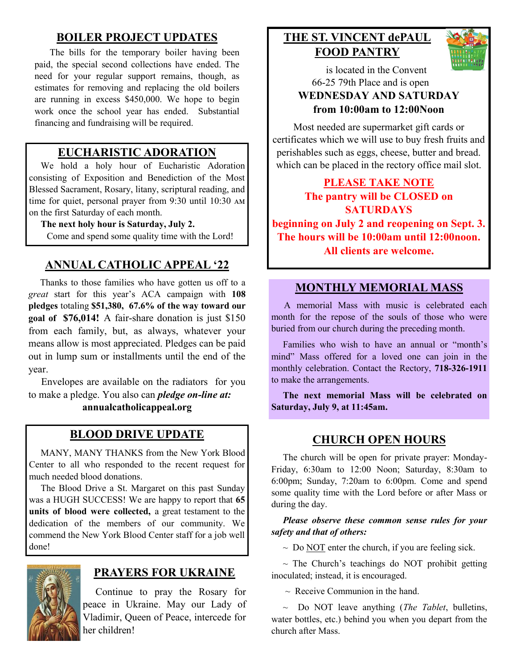## **BOILER PROJECT UPDATES**

The bills for the temporary boiler having been paid, the special second collections have ended. The need for your regular support remains, though, as estimates for removing and replacing the old boilers are running in excess \$450,000. We hope to begin work once the school year has ended. Substantial financing and fundraising will be required.

## **EUCHARISTIC ADORATION**

 We hold a holy hour of Eucharistic Adoration consisting of Exposition and Benediction of the Most Blessed Sacrament, Rosary, litany, scriptural reading, and time for quiet, personal prayer from 9:30 until 10:30 am on the first Saturday of each month.

#### **The next holy hour is Saturday, July 2.**

Come and spend some quality time with the Lord!

## **ANNUAL CATHOLIC APPEAL '22**

 Thanks to those families who have gotten us off to a *great* start for this year's ACA campaign with **108 pledges** totaling **\$51,380, 67.6% of the way toward our goal of \$76,014!** A fair-share donation is just \$150 from each family, but, as always, whatever your means allow is most appreciated. Pledges can be paid out in lump sum or installments until the end of the year.

 Envelopes are available on the radiators for you to make a pledge. You also can *pledge on-line at:*

**annualcatholicappeal.org** 

#### **BLOOD DRIVE UPDATE**

 MANY, MANY THANKS from the New York Blood Center to all who responded to the recent request for much needed blood donations.

 The Blood Drive a St. Margaret on this past Sunday was a HUGH SUCCESS! We are happy to report that **65 units of blood were collected,** a great testament to the dedication of the members of our community. We commend the New York Blood Center staff for a job well done!



## **PRAYERS FOR UKRAINE**

 Continue to pray the Rosary for peace in Ukraine. May our Lady of Vladimir, Queen of Peace, intercede for her children!

# **THE ST. VINCENT dePAUL FOOD PANTRY**



 is located in the Convent 66-25 79th Place and is open

#### **WEDNESDAY AND SATURDAY from 10:00am to 12:00Noon**

Most needed are supermarket gift cards or certificates which we will use to buy fresh fruits and perishables such as eggs, cheese, butter and bread. which can be placed in the rectory office mail slot.

**PLEASE TAKE NOTE The pantry will be CLOSED on SATURDAYS beginning on July 2 and reopening on Sept. 3. The hours will be 10:00am until 12:00noon. All clients are welcome.**

#### **MONTHLY MEMORIAL MASS**

 A memorial Mass with music is celebrated each month for the repose of the souls of those who were buried from our church during the preceding month.

 Families who wish to have an annual or "month's mind" Mass offered for a loved one can join in the monthly celebration. Contact the Rectory, **718-326-1911**  to make the arrangements.

 **The next memorial Mass will be celebrated on Saturday, July 9, at 11:45am.** 

#### **CHURCH OPEN HOURS**

 The church will be open for private prayer: Monday-Friday, 6:30am to 12:00 Noon; Saturday, 8:30am to 6:00pm; Sunday, 7:20am to 6:00pm. Come and spend some quality time with the Lord before or after Mass or during the day.

#### *Please observe these common sense rules for your safety and that of others:*

 $\sim$  Do NOT enter the church, if you are feeling sick.

 $\sim$  The Church's teachings do NOT prohibit getting inoculated; instead, it is encouraged.

 $\sim$  Receive Communion in the hand.

 ~ Do NOT leave anything (*The Tablet*, bulletins, water bottles, etc.) behind you when you depart from the church after Mass.